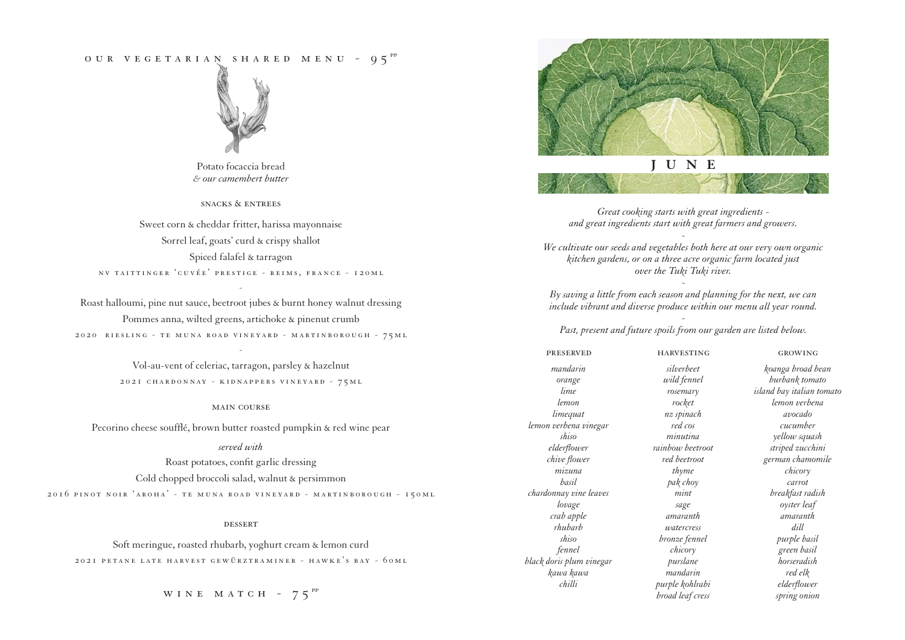# OUR VEGETARIAN SHARED MENU -  $95^{PP}$



Potato focaccia bread *& our camembert butter*

snacks & entrees

Sweet corn & cheddar fritter, harissa mayonnaise Sorrel leaf, goats' curd & crispy shallot Spiced falafel & tarragon nv taittinger 'cuvée' prestige - reims, france - 120ml

Roast halloumi, pine nut sauce, beetroot jubes & burnt honey walnut dressing Pommes anna, wilted greens, artichoke & pinenut crumb 2020 riesling - te muna road vineyard - martinborough - 75ml

-

Vol-au-vent of celeriac, tarragon, parsley & hazelnut 2021 chardonnay - kidnappers vineyard - 75ml

-

#### main course

Pecorino cheese soufflé, brown butter roasted pumpkin & red wine pear

# *served with*

Roast potatoes, confit garlic dressing Cold chopped broccoli salad, walnut & persimmon 2016 pinot noir 'aroha' - te muna road vineyard - martinborough - 150ml

#### **DESSERT**

Soft meringue, roasted rhubarb, yoghurt cream & lemon curd 2021 petane late harvest gewürztraminer - hawke's bay - 60ml

WINE MATCH -  $75^{pp}$ 





*Great cooking starts with great ingredients and great ingredients start with great farmers and growers. -*

*We cultivate our seeds and vegetables both here at our very own organic kitchen gardens, or on a three acre organic farm located just over the Tuki Tuki river.*

*- By saving a little from each season and planning for the next, we can include vibrant and diverse produce within our menu all year round.* 

*- Past, present and future spoils from our garden are listed below.*

| <b>PRESERVED</b>         | <b>HARVESTING</b> | <b>GROWING</b>            |
|--------------------------|-------------------|---------------------------|
| mandarin                 | silverbeet        | koanga broad bean         |
| orange                   | wild fennel       | burbank tomato            |
| lime                     | rosemary          | island bay italian tomato |
| lemon                    | rocket            | lemon verbena             |
| limequat                 | nz spinach        | avocado                   |
| lemon verbena vinegar    | red cos           | cucumber                  |
| shiso                    | minutina          | yellow squash             |
| elderflower              | rainbow beetroot  | striped zucchini          |
| chive flower             | red beetroot      | german chamomile          |
| mizuna                   | thyme             | chicory                   |
| basil                    | pak choy          | carrot                    |
| chardonnay vine leaves   | mint              | breakfast radish          |
| lovage                   | sage              | oyster leaf               |
| crab apple               | amaranth          | amaranth                  |
| rhubarb                  | watercress        | dill                      |
| shiso                    | bronze fennel     | purple basil              |
| fennel                   | chicory           | green basil               |
| black doris plum vinegar | purslane          | horseradish               |
| kawa kawa                | mandarin          | red elk                   |
| chilli                   | purple kohlrabi   | elderflower               |
|                          | broad leaf cress  | spring onion              |